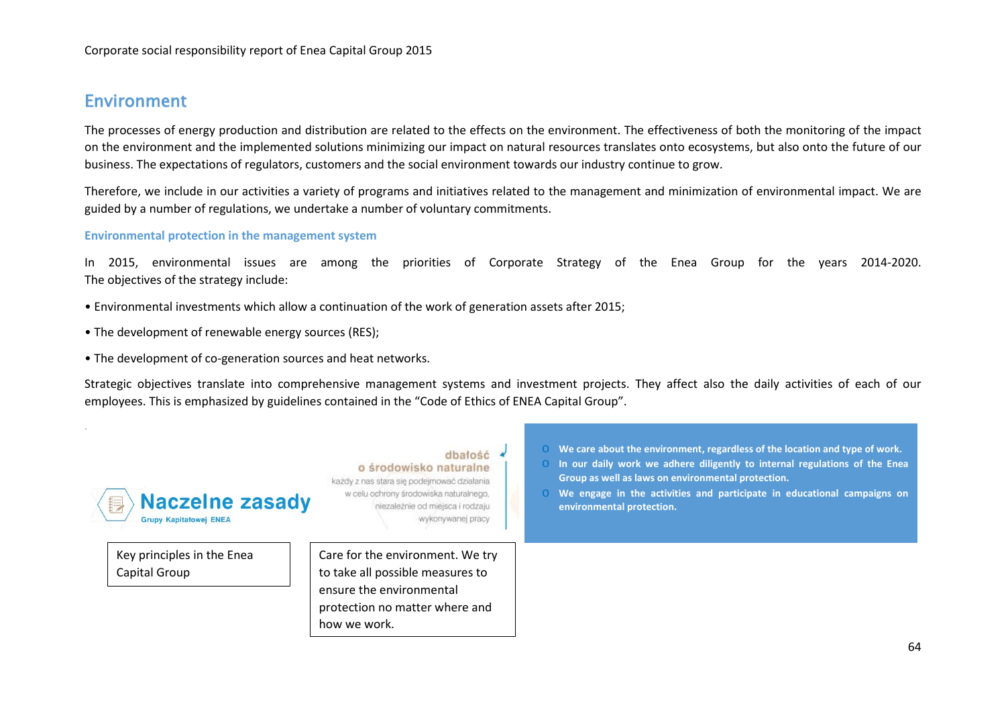## Environment

.

The processes of energy production and distribution are related to the effects on the environment. The effectiveness of both the monitoring of the impact on the environment and the implemented solutions minimizing our impact on natural resources translates onto ecosystems, but also onto the future of our business. The expectations of regulators, customers and the social environment towards our industry continue to grow.

Therefore, we include in our activities a variety of programs and initiatives related to the management and minimization of environmental impact. We are guided by a number of regulations, we undertake a number of voluntary commitments.

### **Environmental protection in the management system**

In 2015, environmental issues are among the priorities of Corporate Strategy of the Enea Group for the years 2014-2020. The objectives of the strategy include:

- Environmental investments which allow a continuation of the work of generation assets after 2015;
- The development of renewable energy sources (RES);
- The development of co-generation sources and heat networks.

Strategic objectives translate into comprehensive management systems and investment projects. They affect also the daily activities of each of our employees. This is emphasized by guidelines contained in the "Code of Ethics of ENEA Capital Group".

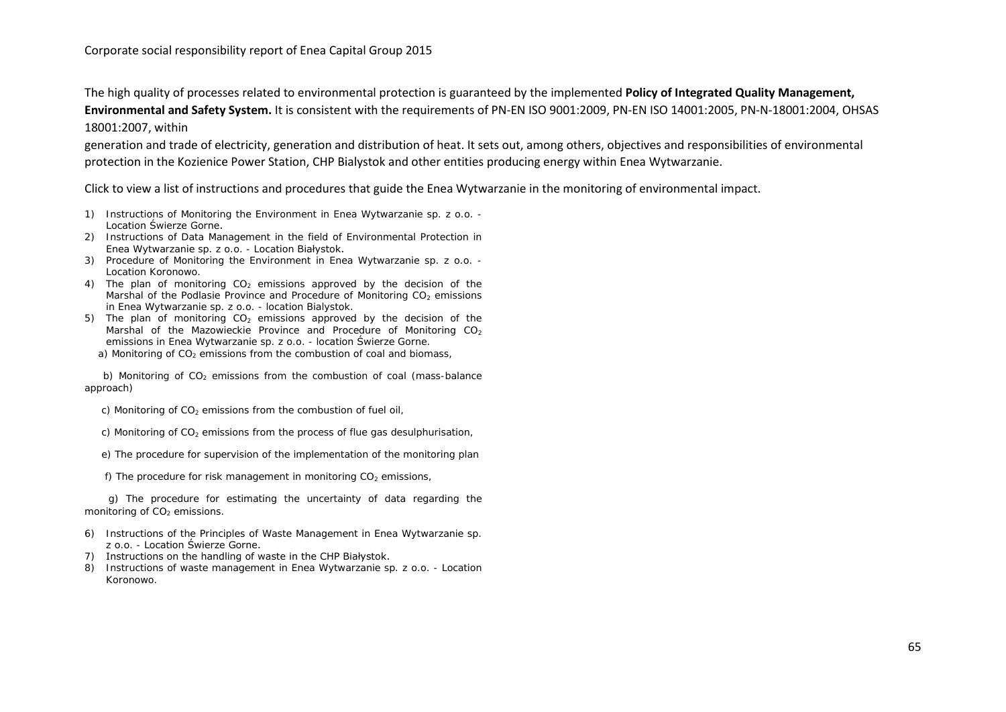The high quality of processes related to environmental protection is guaranteed by the implemented **Policy of Integrated Quality Management, Environmental and Safety System.** It is consistent with the requirements of PN-EN ISO 9001:2009, PN-EN ISO 14001:2005, PN-N-18001:2004, OHSAS 18001:2007, within

generation and trade of electricity, generation and distribution of heat. It sets out, among others, objectives and responsibilities of environmental protection in the Kozienice Power Station, CHP Bialystok and other entities producing energy within Enea Wytwarzanie.

Click to view a list of instructions and procedures that guide the Enea Wytwarzanie in the monitoring of environmental impact.

- 1) Instructions of Monitoring the Environment in Enea Wytwarzanie sp. z o.o. Location Świerze Gorne.
- 2) Instructions of Data Management in the field of Environmental Protection in Enea Wytwarzanie sp. z o.o. - Location Białystok.
- 3) Procedure of Monitoring the Environment in Enea Wytwarzanie sp. z o.o. Location Koronowo.
- 4) The plan of monitoring  $CO<sub>2</sub>$  emissions approved by the decision of the Marshal of the Podlasie Province and Procedure of Monitoring CO<sub>2</sub> emissions in Enea Wytwarzanie sp. z o.o. - location Bialystok.
- 5) The plan of monitoring  $CO<sub>2</sub>$  emissions approved by the decision of the Marshal of the Mazowieckie Province and Procedure of Monitoring  $CO<sub>2</sub>$ emissions in Enea Wytwarzanie sp. z o.o. - location Świerze Gorne.
	- a) Monitoring of  $CO<sub>2</sub>$  emissions from the combustion of coal and biomass,

b) Monitoring of  $CO<sub>2</sub>$  emissions from the combustion of coal (mass-balance approach)

c) Monitoring of  $CO<sub>2</sub>$  emissions from the combustion of fuel oil,

c) Monitoring of  $CO<sub>2</sub>$  emissions from the process of flue gas desulphurisation,

e) The procedure for supervision of the implementation of the monitoring plan

f) The procedure for risk management in monitoring  $CO<sub>2</sub>$  emissions,

 g) The procedure for estimating the uncertainty of data regarding the monitoring of  $CO<sub>2</sub>$  emissions.

- 6) Instructions of the Principles of Waste Management in Enea Wytwarzanie sp. z o.o. - Location Świerze Gorne.
- 7) Instructions on the handling of waste in the CHP Białystok.
- 8) Instructions of waste management in Enea Wytwarzanie sp. z o.o. Location Koronowo.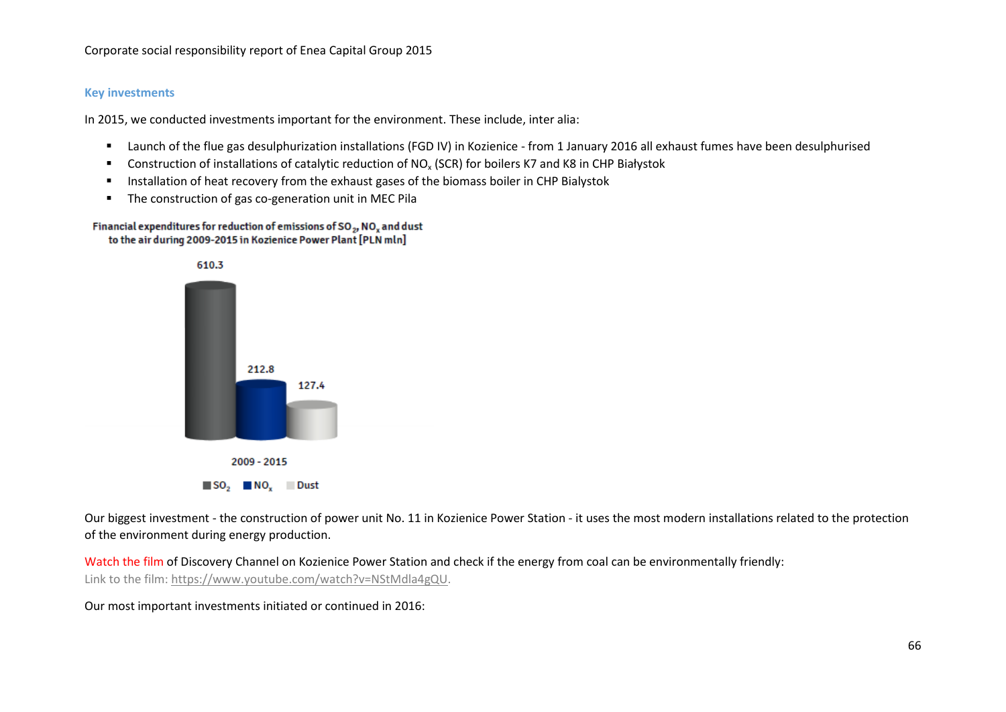### **Key investments**

In 2015, we conducted investments important for the environment. These include, inter alia:

- Launch of the flue gas desulphurization installations (FGD IV) in Kozienice from 1 January 2016 all exhaust fumes have been desulphurised
- Construction of installations of catalytic reduction of NO<sub>x</sub> (SCR) for boilers K7 and K8 in CHP Białystok
- **Installation of heat recovery from the exhaust gases of the biomass boiler in CHP Bialystok**
- The construction of gas co-generation unit in MEC Pila

#### Financial expenditures for reduction of emissions of SO<sub>2</sub>, NO<sub>2</sub> and dust to the air during 2009-2015 in Kozienice Power Plant [PLN mln]



Our biggest investment - the construction of power unit No. 11 in Kozienice Power Station - it uses the most modern installations related to the protection of the environment during energy production.

Watch the film of Discovery Channel on Kozienice Power Station and check if the energy from coal can be environmentally friendly: Link to the film: [https://www.youtube.com/watch?v=NStMdla4gQU.](https://www.youtube.com/watch?v=NStMdla4gQU)

Our most important investments initiated or continued in 2016: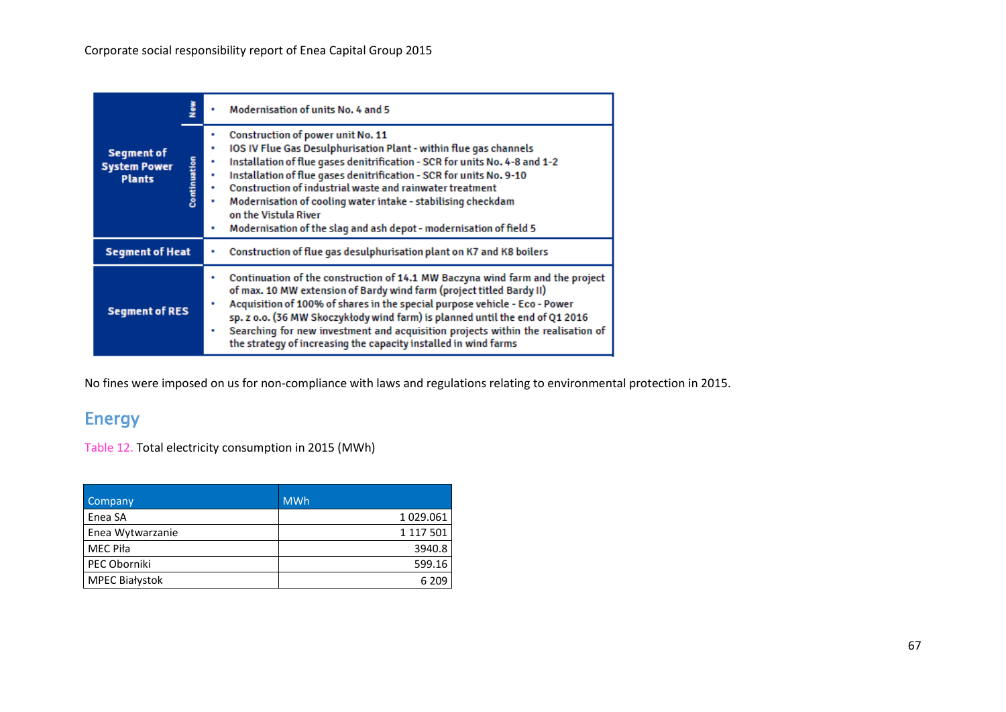|                                                                           |  | <b>Modernisation of units No. 4 and 5</b>                                                                                                                                                                                                                                                                                                                                                                                                                                             |
|---------------------------------------------------------------------------|--|---------------------------------------------------------------------------------------------------------------------------------------------------------------------------------------------------------------------------------------------------------------------------------------------------------------------------------------------------------------------------------------------------------------------------------------------------------------------------------------|
| <b>Segment of</b><br>Continuation<br><b>System Power</b><br><b>Plants</b> |  | Construction of power unit No. 11<br>IOS IV Flue Gas Desulphurisation Plant - within flue gas channels<br>Installation of flue gases denitrification - SCR for units No. 4-8 and 1-2<br>Installation of flue gases denitrification - SCR for units No. 9-10<br>Construction of industrial waste and rainwater treatment<br>Modernisation of cooling water intake - stabilising checkdam<br>on the Vistula River<br>Modernisation of the slag and ash depot - modernisation of field 5 |
| <b>Segment of Heat</b>                                                    |  | Construction of flue gas desulphurisation plant on K7 and K8 boilers                                                                                                                                                                                                                                                                                                                                                                                                                  |
| <b>Segment of RES</b>                                                     |  | Continuation of the construction of 14.1 MW Baczyna wind farm and the project<br>of max. 10 MW extension of Bardy wind farm (project titled Bardy II)<br>Acquisition of 100% of shares in the special purpose vehicle - Eco - Power<br>sp. z o.o. (36 MW Skoczykłody wind farm) is planned until the end of Q1 2016<br>Searching for new investment and acquisition projects within the realisation of<br>the strategy of increasing the capacity installed in wind farms             |

No fines were imposed on us for non-compliance with laws and regulations relating to environmental protection in 2015.

# Energy

Table 12. Total electricity consumption in 2015 (MWh)

| <b>Company</b>        | <b>MWh</b> |
|-----------------------|------------|
| Enea SA               | 1 029.061  |
| Enea Wytwarzanie      | 1 117 501  |
| <b>MEC Piła</b>       | 3940.8     |
| PEC Oborniki          | 599.16     |
| <b>MPEC Białystok</b> | 6 2 0 9    |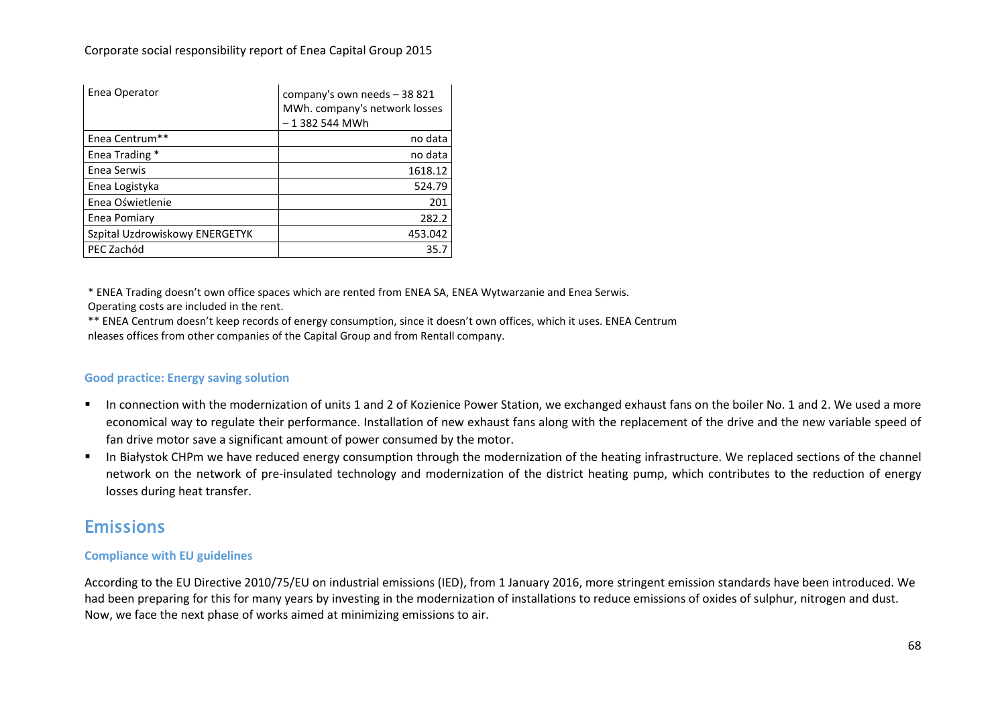Corporate social responsibility report of Enea Capital Group 2015

| Enea Operator                  | company's own needs - 38 821<br>MWh. company's network losses<br>-1382 544 MWh |
|--------------------------------|--------------------------------------------------------------------------------|
| Enea Centrum**                 | no data                                                                        |
| Enea Trading *                 | no data                                                                        |
| Enea Serwis                    | 1618.12                                                                        |
| Enea Logistyka                 | 524.79                                                                         |
| Enea Oświetlenie               | 201                                                                            |
| Enea Pomiary                   | 282.2                                                                          |
| Szpital Uzdrowiskowy ENERGETYK | 453.042                                                                        |
| PEC Zachód                     | 35.                                                                            |

\* ENEA Trading doesn't own office spaces which are rented from ENEA SA, ENEA Wytwarzanie and Enea Serwis.

Operating costs are included in the rent.

\*\* ENEA Centrum doesn't keep records of energy consumption, since it doesn't own offices, which it uses. ENEA Centrum nleases offices from other companies of the Capital Group and from Rentall company.

### **Good practice: Energy saving solution**

- In connection with the modernization of units 1 and 2 of Kozienice Power Station, we exchanged exhaust fans on the boiler No. 1 and 2. We used a more economical way to regulate their performance. Installation of new exhaust fans along with the replacement of the drive and the new variable speed of fan drive motor save a significant amount of power consumed by the motor.
- In Białystok CHPm we have reduced energy consumption through the modernization of the heating infrastructure. We replaced sections of the channel network on the network of pre-insulated technology and modernization of the district heating pump, which contributes to the reduction of energy losses during heat transfer.

## Emissions

### **Compliance with EU guidelines**

According to the EU Directive 2010/75/EU on industrial emissions (IED), from 1 January 2016, more stringent emission standards have been introduced. We had been preparing for this for many years by investing in the modernization of installations to reduce emissions of oxides of sulphur, nitrogen and dust. Now, we face the next phase of works aimed at minimizing emissions to air.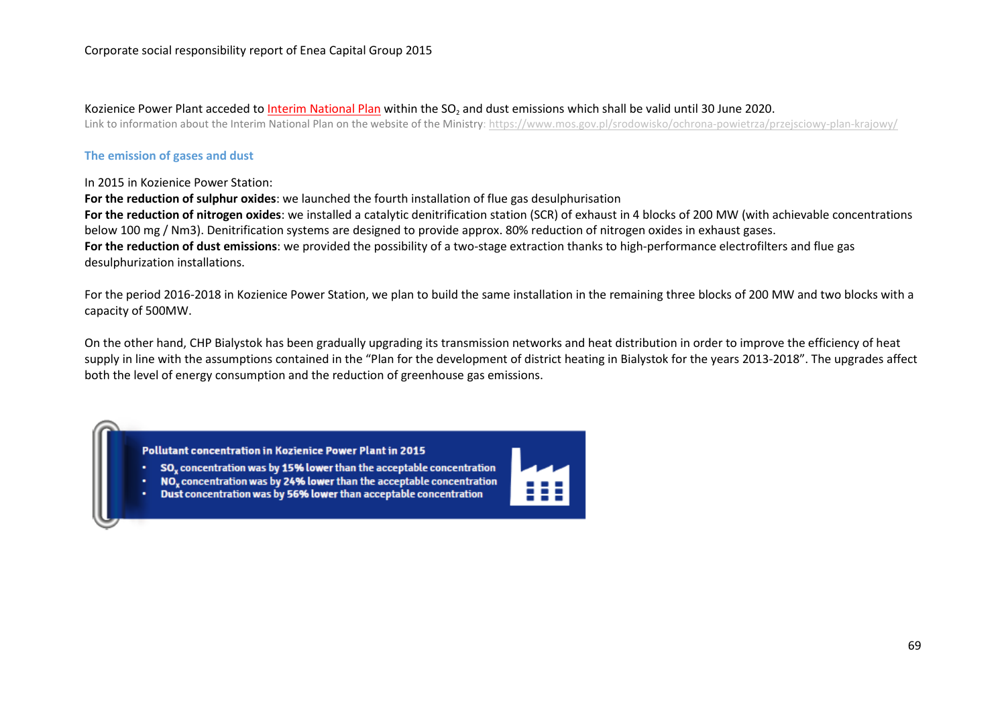#### Kozienice Power Plant acceded to Interim National Plan within the SO<sub>2</sub> and dust emissions which shall be valid until 30 June 2020.

Link to information about the Interim National Plan on the website of the Ministry:<https://www.mos.gov.pl/srodowisko/ochrona-powietrza/przejsciowy-plan-krajowy/>

#### **The emission of gases and dust**

#### In 2015 in Kozienice Power Station:

**For the reduction of sulphur oxides**: we launched the fourth installation of flue gas desulphurisation

**For the reduction of nitrogen oxides**: we installed a catalytic denitrification station (SCR) of exhaust in 4 blocks of 200 MW (with achievable concentrations below 100 mg / Nm3). Denitrification systems are designed to provide approx. 80% reduction of nitrogen oxides in exhaust gases. **For the reduction of dust emissions**: we provided the possibility of a two-stage extraction thanks to high-performance electrofilters and flue gas desulphurization installations.

For the period 2016-2018 in Kozienice Power Station, we plan to build the same installation in the remaining three blocks of 200 MW and two blocks with a capacity of 500MW.

On the other hand, CHP Bialystok has been gradually upgrading its transmission networks and heat distribution in order to improve the efficiency of heat supply in line with the assumptions contained in the "Plan for the development of district heating in Bialystok for the years 2013-2018". The upgrades affect both the level of energy consumption and the reduction of greenhouse gas emissions.

Pollutant concentration in Kozienice Power Plant in 2015

- SO<sub>v</sub> concentration was by 15% lower than the acceptable concentration
- NO, concentration was by 24% lower than the acceptable concentration
- Dust concentration was by 56% lower than acceptable concentration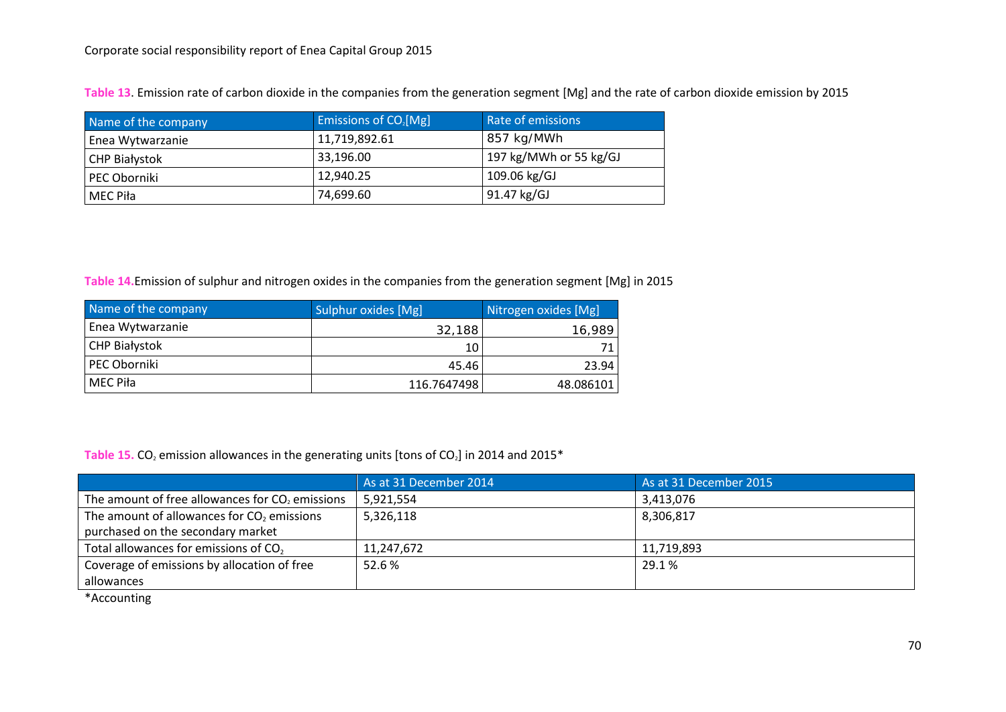| Name of the company  | Emissions of CO <sub>2</sub> [Mg] | Rate of emissions      |
|----------------------|-----------------------------------|------------------------|
| Enea Wytwarzanie     | 11,719,892.61                     | 857 kg/MWh             |
| <b>CHP Białystok</b> | 33,196.00                         | 197 kg/MWh or 55 kg/GJ |
| PEC Oborniki         | 12.940.25                         | 109.06 kg/GJ           |
| MEC Piła             | 74,699.60                         | 91.47 kg/GJ            |

**Table 13**. Emission rate of carbon dioxide in the companies from the generation segment [Mg] and the rate of carbon dioxide emission by 2015

**Table 14.**Emission of sulphur and nitrogen oxides in the companies from the generation segment [Mg] in 2015

| Name of the company  | Sulphur oxides [Mg] | Nitrogen oxides [Mg] |
|----------------------|---------------------|----------------------|
| Enea Wytwarzanie     | 32,188              | 16,989               |
| <b>CHP Białystok</b> | 10                  | 71                   |
| PEC Oborniki         | 45.46               | 23.94                |
| MEC Piła             | 116.7647498         | 48.086101            |

Table 15. CO<sub>2</sub> emission allowances in the generating units [tons of CO<sub>2</sub>] in 2014 and 2015<sup>\*</sup>

|                                                   | As at 31 December 2014 | As at 31 December 2015 |
|---------------------------------------------------|------------------------|------------------------|
| The amount of free allowances for $CO2$ emissions | 5,921,554              | 3,413,076              |
| The amount of allowances for $CO2$ emissions      | 5,326,118              | 8,306,817              |
| purchased on the secondary market                 |                        |                        |
| Total allowances for emissions of CO <sub>2</sub> | 11,247,672             | 11,719,893             |
| Coverage of emissions by allocation of free       | 52.6 %                 | 29.1 %                 |
| allowances                                        |                        |                        |

\*Accounting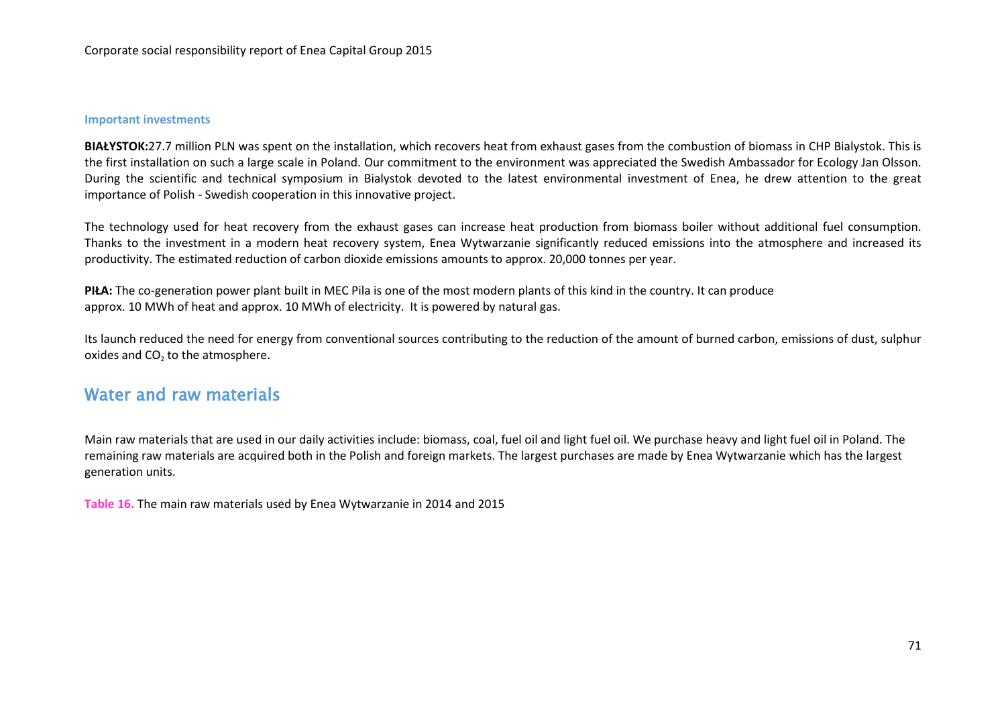#### **Important investments**

**BIAŁYSTOK:**27.7 million PLN was spent on the installation, which recovers heat from exhaust gases from the combustion of biomass in CHP Bialystok. This is the first installation on such a large scale in Poland. Our commitment to the environment was appreciated the Swedish Ambassador for Ecology Jan Olsson. During the scientific and technical symposium in Bialystok devoted to the latest environmental investment of Enea, he drew attention to the great importance of Polish - Swedish cooperation in this innovative project.

The technology used for heat recovery from the exhaust gases can increase heat production from biomass boiler without additional fuel consumption. Thanks to the investment in a modern heat recovery system, Enea Wytwarzanie significantly reduced emissions into the atmosphere and increased its productivity. The estimated reduction of carbon dioxide emissions amounts to approx. 20,000 tonnes per year.

**PIŁA:** The co-generation power plant built in MEC Pila is one of the most modern plants of this kind in the country. It can produce approx. 10 MWh of heat and approx. 10 MWh of electricity. It is powered by natural gas.

Its launch reduced the need for energy from conventional sources contributing to the reduction of the amount of burned carbon, emissions of dust, sulphur oxides and  $CO<sub>2</sub>$  to the atmosphere.

## Water and raw materials

Main raw materials that are used in our daily activities include: biomass, coal, fuel oil and light fuel oil. We purchase heavy and light fuel oil in Poland. The remaining raw materials are acquired both in the Polish and foreign markets. The largest purchases are made by Enea Wytwarzanie which has the largest generation units.

**Table 16.** The main raw materials used by Enea Wytwarzanie in 2014 and 2015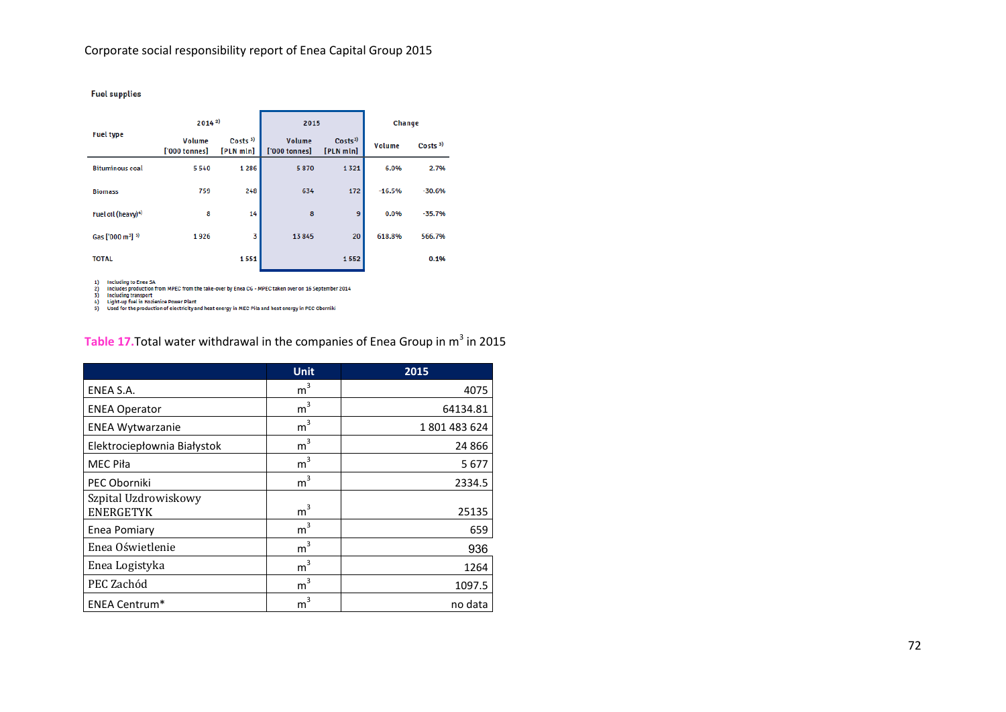**Fuel supplies** 

|                                          | 20142                   |                                 | 2015                    |                                 | Change   |                    |
|------------------------------------------|-------------------------|---------------------------------|-------------------------|---------------------------------|----------|--------------------|
| <b>Fuel type</b>                         | Volume<br>['000 tonnes] | Costs <sup>3</sup><br>[PLN mln] | Volume<br>['000 tonnes] | Costs <sup>3</sup><br>[PLN mln] | Volume   | Costs <sup>3</sup> |
| <b>Bituminous coal</b>                   | 5540                    | 1 2 8 6                         | 5870                    | 1321                            | 6.0%     | 2.7%               |
| <b>Biomass</b>                           | 759                     | 248                             | 634                     | 172                             | $-16.5%$ | $-30.6%$           |
| Fuel oil (heavy) <sup>4)</sup>           | 8                       | 14                              | 8                       | 9                               | 0.0%     | $-35.7%$           |
| Gas ['000 m <sup>3</sup> ] <sup>5)</sup> | 1926                    | 3                               | 13845                   | 20                              | 618.8%   | 566.7%             |
| <b>TOTAL</b>                             |                         | 1551                            |                         | 1552                            |          | 0.1%               |

1) Including to Enea SA<br>2) Includes production from MPEC from the take-over by Enea CG - MPEC taken over on 16 September 2014<br>3) Including transport<br>4) Light-up fuel in Kozienice Power Plant<br>5) Used for the production of e

## Table 17. Total water withdrawal in the companies of Enea Group in m<sup>3</sup> in 2015

|                                          | <b>Unit</b>    | 2015       |
|------------------------------------------|----------------|------------|
| ENEA S.A.                                | m <sup>3</sup> | 4075       |
| <b>ENEA Operator</b>                     | 3<br>m         | 64134.81   |
| <b>ENEA Wytwarzanie</b>                  | m <sup>3</sup> | 1801483624 |
| Elektrociepłownia Białystok              | $m^3$          | 24 866     |
| <b>MEC Piła</b>                          | 3<br>m         | 5677       |
| PEC Oborniki                             | m <sup>3</sup> | 2334.5     |
| Szpital Uzdrowiskowy<br><b>ENERGETYK</b> | m <sup>3</sup> | 25135      |
| Enea Pomiary                             | m <sup>3</sup> | 659        |
| Enea Oświetlenie                         | 3<br>$m^2$     | 936        |
| Enea Logistyka                           | m <sup>3</sup> | 1264       |
| PEC Zachód                               | 3<br>m         | 1097.5     |
| <b>ENEA Centrum*</b>                     | 3<br>m         | no data    |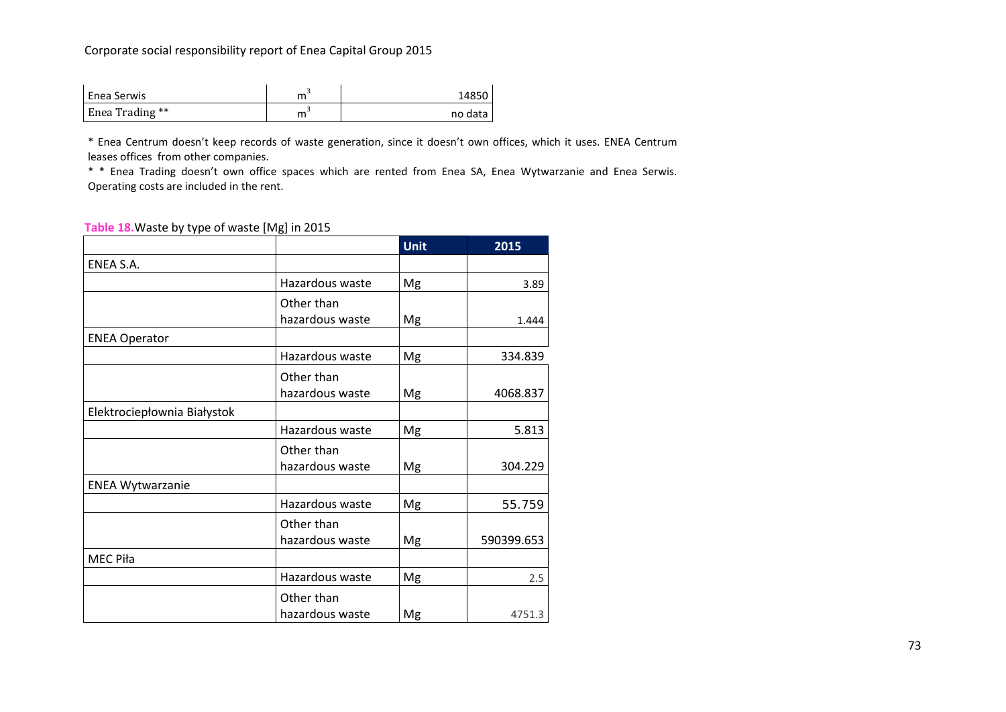## Corporate social responsibility report of Enea Capital Group 2015

| <b>Enea Serwis</b> | 14850   |
|--------------------|---------|
| Enea Trading **    | no data |

\* Enea Centrum doesn't keep records of waste generation, since it doesn't own offices, which it uses. ENEA Centrum leases offices from other companies.

\* \* Enea Trading doesn't own office spaces which are rented from Enea SA, Enea Wytwarzanie and Enea Serwis. Operating costs are included in the rent.

#### **Table 18.**Waste by type of waste [Mg] in 2015

|                             |                 | <b>Unit</b> | 2015       |
|-----------------------------|-----------------|-------------|------------|
| ENEA S.A.                   |                 |             |            |
|                             | Hazardous waste | Mg          | 3.89       |
|                             | Other than      |             |            |
|                             | hazardous waste | Mg          | 1.444      |
| <b>ENEA Operator</b>        |                 |             |            |
|                             | Hazardous waste | Mg          | 334.839    |
|                             | Other than      |             |            |
|                             | hazardous waste | Mg          | 4068.837   |
| Elektrociepłownia Białystok |                 |             |            |
|                             | Hazardous waste | Mg          | 5.813      |
|                             | Other than      |             |            |
|                             | hazardous waste | Mg          | 304.229    |
| <b>ENEA Wytwarzanie</b>     |                 |             |            |
|                             | Hazardous waste | Mg          | 55.759     |
|                             | Other than      |             |            |
|                             | hazardous waste | Mg          | 590399.653 |
| MEC Piła                    |                 |             |            |
|                             | Hazardous waste | Mg          | 2.5        |
|                             | Other than      |             |            |
|                             | hazardous waste | Mg          | 4751.3     |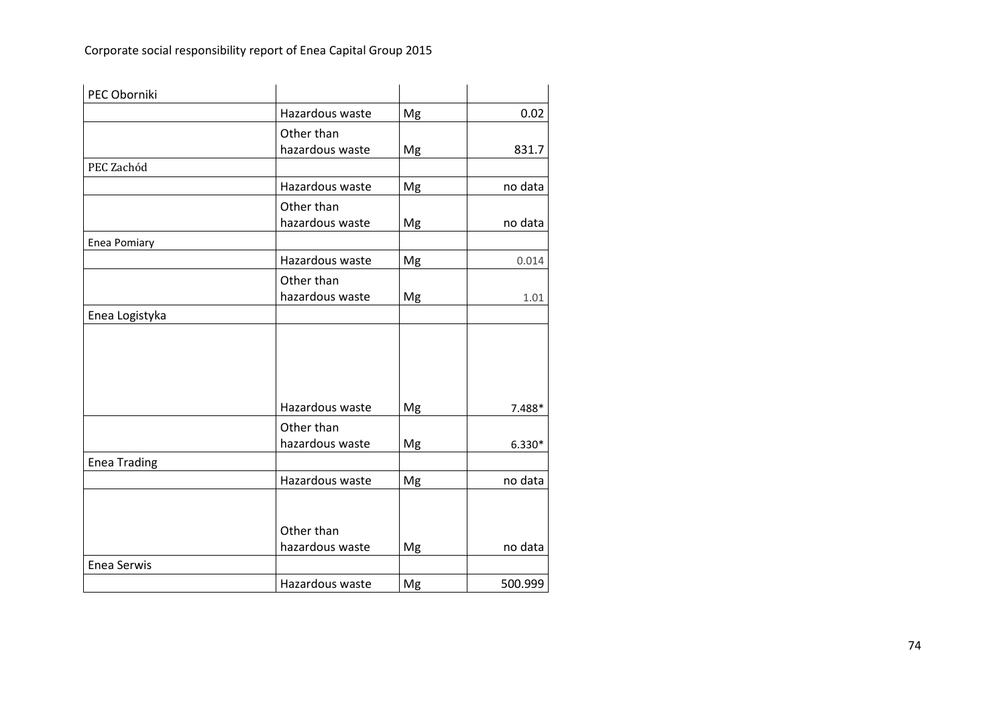| PEC Oborniki        |                 |    |          |
|---------------------|-----------------|----|----------|
|                     | Hazardous waste | Mg | 0.02     |
|                     | Other than      |    |          |
|                     | hazardous waste | Mg | 831.7    |
| PEC Zachód          |                 |    |          |
|                     | Hazardous waste | Mg | no data  |
|                     | Other than      |    |          |
|                     | hazardous waste | Mg | no data  |
| Enea Pomiary        |                 |    |          |
|                     | Hazardous waste | Mg | 0.014    |
|                     | Other than      |    |          |
|                     | hazardous waste | Mg | 1.01     |
| Enea Logistyka      |                 |    |          |
|                     |                 |    |          |
|                     |                 |    |          |
|                     |                 |    |          |
|                     |                 |    |          |
|                     | Hazardous waste | Mg | 7.488*   |
|                     | Other than      |    |          |
|                     | hazardous waste | Mg | $6.330*$ |
| <b>Enea Trading</b> |                 |    |          |
|                     | Hazardous waste | Mg | no data  |
|                     |                 |    |          |
|                     |                 |    |          |
|                     | Other than      |    |          |
|                     | hazardous waste | Mg | no data  |
| <b>Enea Serwis</b>  |                 |    |          |
|                     | Hazardous waste | Mg | 500.999  |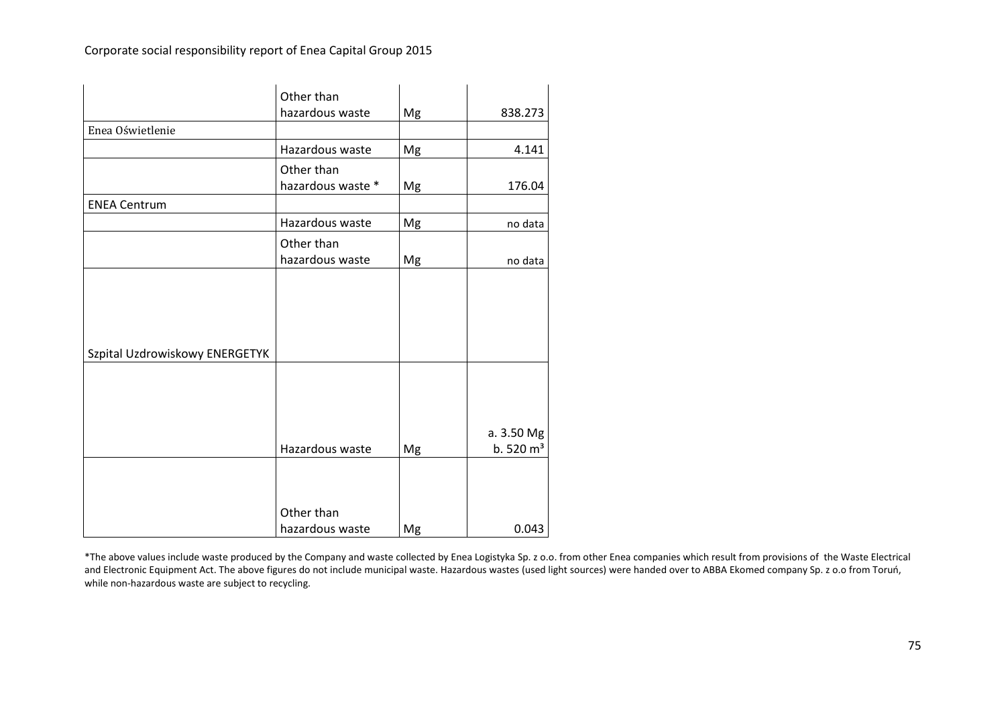|                                | Other than<br>hazardous waste   | Mg | 838.273                            |
|--------------------------------|---------------------------------|----|------------------------------------|
| Enea Oświetlenie               |                                 |    |                                    |
|                                | Hazardous waste                 | Mg | 4.141                              |
|                                | Other than<br>hazardous waste * | Mg | 176.04                             |
| <b>ENEA Centrum</b>            |                                 |    |                                    |
|                                | Hazardous waste                 | Mg | no data                            |
|                                | Other than<br>hazardous waste   | Mg | no data                            |
|                                |                                 |    |                                    |
| Szpital Uzdrowiskowy ENERGETYK |                                 |    |                                    |
|                                |                                 |    |                                    |
|                                | Hazardous waste                 | Mg | a. 3.50 Mg<br>b.520 m <sup>3</sup> |
|                                | Other than                      |    |                                    |
|                                | hazardous waste                 | Mg | 0.043                              |

\*The above values include waste produced by the Company and waste collected by Enea Logistyka Sp. z o.o. from other Enea companies which result from provisions of the Waste Electrical and Electronic Equipment Act. The above figures do not include municipal waste. Hazardous wastes (used light sources) were handed over to ABBA Ekomed company Sp. z o.o from Toruń, while non-hazardous waste are subject to recycling.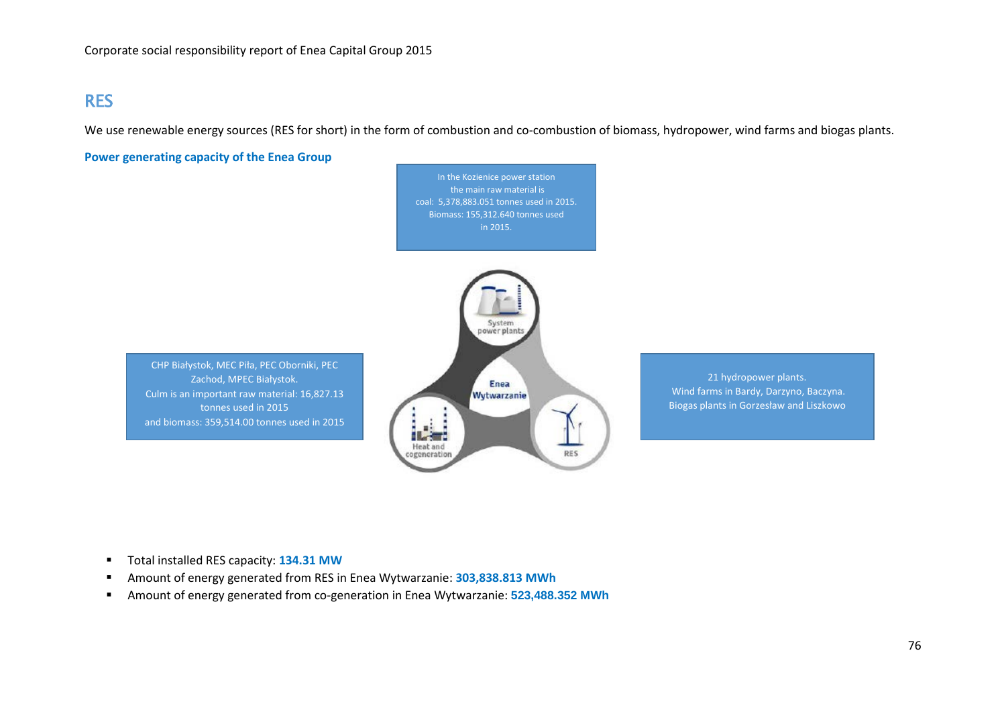## RES

We use renewable energy sources (RES for short) in the form of combustion and co-combustion of biomass, hydropower, wind farms and biogas plants.

**Power generating capacity of the Enea Group**

In the Kozienice power station the main raw material is coal: 5,378,883.051 tonnes used in 2015. Biomass: 155,312.640 tonnes used in 2015.

CHP Białystok, MEC Piła, PEC Oborniki, PEC Zachod, MPEC Białystok. Culm is an important raw material: 16,827.13 tonnes used in 2015 and biomass: 359,514.00 tonnes used in 2015



21 hydropower plants. Wind farms in Bardy, Darzyno, Baczyna. Biogas plants in Gorzesław and Liszkowo

- **Total installed RES capacity: 134.31 MW**
- Amount of energy generated from RES in Enea Wytwarzanie: **303,838.813 MWh**
- Amount of energy generated from co-generation in Enea Wytwarzanie: **523,488.352 MWh**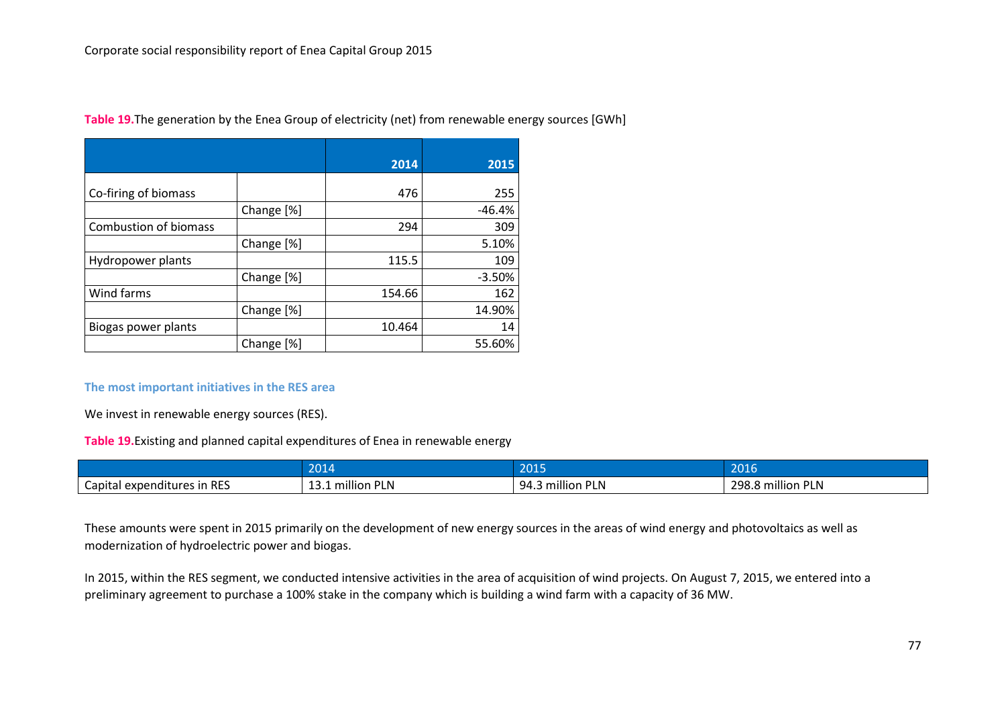|                              |            | 2014   | 2015     |
|------------------------------|------------|--------|----------|
| Co-firing of biomass         |            | 476    | 255      |
|                              | Change [%] |        | $-46.4%$ |
| <b>Combustion of biomass</b> |            | 294    | 309      |
|                              | Change [%] |        | 5.10%    |
| Hydropower plants            |            | 115.5  | 109      |
|                              | Change [%] |        | $-3.50%$ |
| Wind farms                   |            | 154.66 | 162      |
|                              | Change [%] |        | 14.90%   |
| Biogas power plants          |            | 10.464 | 14       |
|                              | Change [%] |        | 55.60%   |

**Table 19.**The generation by the Enea Group of electricity (net) from renewable energy sources [GWh]

#### **The most important initiatives in the RES area**

We invest in renewable energy sources (RES).

**Table 19.**Existing and planned capital expenditures of Enea in renewable energy

|                             | 204                                             | 204E                                    | 0.01<br><b>AVILU</b>             |
|-----------------------------|-------------------------------------------------|-----------------------------------------|----------------------------------|
| Capital expenditures in RES | .<br><br>. .<br>million Pl<br><b>LIV</b><br>--- | <br><b>PLN</b><br>94 R<br>million<br>᠇… | <br>298.8<br>.<br>'LN<br>million |

These amounts were spent in 2015 primarily on the development of new energy sources in the areas of wind energy and photovoltaics as well as modernization of hydroelectric power and biogas.

In 2015, within the RES segment, we conducted intensive activities in the area of acquisition of wind projects. On August 7, 2015, we entered into a preliminary agreement to purchase a 100% stake in the company which is building a wind farm with a capacity of 36 MW.